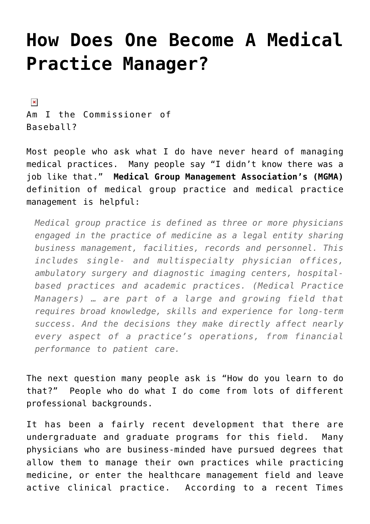## **[How Does One Become A Medical](https://managemypractice.com/how-does-one-become-a-medical-practice-manager/) [Practice Manager?](https://managemypractice.com/how-does-one-become-a-medical-practice-manager/)**

 $\pmb{\times}$ Am I the Commissioner of Baseball?

Most people who ask what I do have never heard of managing medical practices. Many people say "I didn't know there was a job like that." **[Medical Group Management Association's \(MGMA\)](http://www.mgma.com)** definition of medical group practice and medical practice management is helpful:

*Medical group practice is defined as three or more physicians engaged in the practice of medicine as a legal entity sharing business management, facilities, records and personnel. This includes single- and multispecialty physician offices, ambulatory surgery and diagnostic imaging centers, hospitalbased practices and academic practices. (Medical Practice Managers) … are part of a large and growing field that requires broad knowledge, skills and experience for long-term success. And the decisions they make directly affect nearly every aspect of a practice's operations, from financial performance to patient care.*

The next question many people ask is "How do you learn to do that?" People who do what I do come from lots of different professional backgrounds.

It has been a fairly recent development that there are undergraduate and graduate programs for this field. Many physicians who are business-minded have pursued degrees that allow them to manage their own practices while practicing medicine, or enter the healthcare management field and leave active clinical practice. According to a recent Times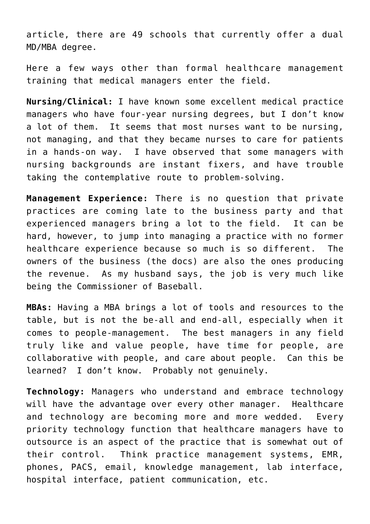article, there are 49 schools that currently offer a dual MD/MBA degree.

Here a few ways other than formal healthcare management training that medical managers enter the field.

**Nursing/Clinical:** I have known some excellent medical practice managers who have four-year nursing degrees, but I don't know a lot of them. It seems that most nurses want to be nursing, not managing, and that they became nurses to care for patients in a hands-on way. I have observed that some managers with nursing backgrounds are instant fixers, and have trouble taking the contemplative route to problem-solving.

**Management Experience:** There is no question that private practices are coming late to the business party and that experienced managers bring a lot to the field. It can be hard, however, to jump into managing a practice with no former healthcare experience because so much is so different. The owners of the business (the docs) are also the ones producing the revenue. As my husband says, the job is very much like being the Commissioner of Baseball.

**MBAs:** Having a MBA brings a lot of tools and resources to the table, but is not the be-all and end-all, especially when it comes to people-management. The best managers in any field truly like and value people, have time for people, are collaborative with people, and care about people. Can this be learned? I don't know. Probably not genuinely.

**Technology:** Managers who understand and embrace technology will have the advantage over every other manager. Healthcare and technology are becoming more and more wedded. Every priority technology function that healthcare managers have to outsource is an aspect of the practice that is somewhat out of their control. Think practice management systems, EMR, phones, PACS, email, knowledge management, lab interface, hospital interface, patient communication, etc.